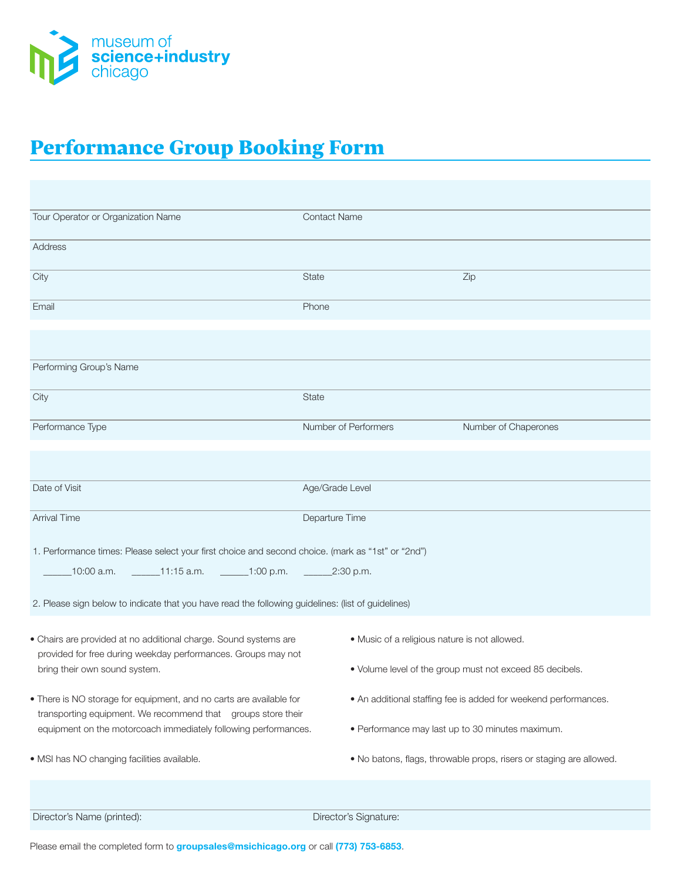

## Performance Group Booking Form

| Tour Operator or Organization Name                                                                                              | <b>Contact Name</b>                                                 |                      |
|---------------------------------------------------------------------------------------------------------------------------------|---------------------------------------------------------------------|----------------------|
| Address                                                                                                                         |                                                                     |                      |
| City                                                                                                                            | <b>State</b>                                                        | Zip                  |
| Email                                                                                                                           | Phone                                                               |                      |
|                                                                                                                                 |                                                                     |                      |
| Performing Group's Name                                                                                                         |                                                                     |                      |
| City                                                                                                                            | <b>State</b>                                                        |                      |
| Performance Type                                                                                                                | Number of Performers                                                | Number of Chaperones |
|                                                                                                                                 |                                                                     |                      |
| Date of Visit                                                                                                                   | Age/Grade Level                                                     |                      |
| <b>Arrival Time</b>                                                                                                             | Departure Time                                                      |                      |
| 1. Performance times: Please select your first choice and second choice. (mark as "1st" or "2nd")                               |                                                                     |                      |
| $\frac{11.15 \text{ a.m.}}{2.30 \text{ p.m.}}$ 1:00 p.m. $\frac{2.30 \text{ p.m.}}{2.30 \text{ p.m.}}$<br>10:00 a.m.            |                                                                     |                      |
| 2. Please sign below to indicate that you have read the following guidelines: (list of guidelines)                              |                                                                     |                      |
| · Chairs are provided at no additional charge. Sound systems are                                                                | · Music of a religious nature is not allowed.                       |                      |
| provided for free during weekday performances. Groups may not<br>bring their own sound system.                                  | . Volume level of the group must not exceed 85 decibels.            |                      |
| . There is NO storage for equipment, and no carts are available for                                                             | • An additional staffing fee is added for weekend performances.     |                      |
| transporting equipment. We recommend that groups store their<br>equipment on the motorcoach immediately following performances. | • Performance may last up to 30 minutes maximum.                    |                      |
| · MSI has NO changing facilities available.                                                                                     | . No batons, flags, throwable props, risers or staging are allowed. |                      |
|                                                                                                                                 |                                                                     |                      |
| Director's Name (printed):                                                                                                      | Director's Signature:                                               |                      |

Please email the completed form to **groupsales@msichicago.org** or call **(773) 753-6853**.